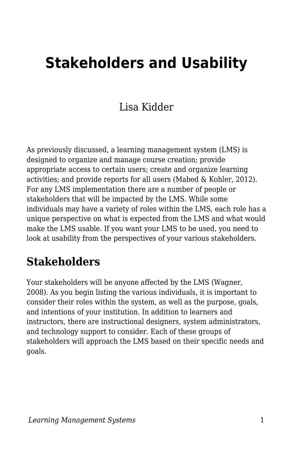# **Stakeholders and Usability**

### Lisa Kidder

As previously discussed, a learning management system (LMS) is designed to organize and manage course creation; provide appropriate access to certain users; create and organize learning activities; and provide reports for all users (Mabed & Kohler, 2012). For any LMS implementation there are a number of people or stakeholders that will be impacted by the LMS. While some individuals may have a variety of roles within the LMS, each role has a unique perspective on what is expected from the LMS and what would make the LMS usable. If you want your LMS to be used, you need to look at usability from the perspectives of your various stakeholders.

### **Stakeholders**

Your stakeholders will be anyone affected by the LMS (Wagner, 2008). As you begin listing the various individuals, it is important to consider their roles within the system, as well as the purpose, goals, and intentions of your institution. In addition to learners and instructors, there are instructional designers, system administrators, and technology support to consider. Each of these groups of stakeholders will approach the LMS based on their specific needs and goals.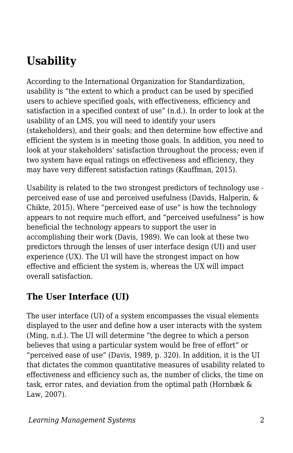# **Usability**

According to the International Organization for Standardization, usability is "the extent to which a product can be used by specified users to achieve specified goals, with effectiveness, efficiency and satisfaction in a specified context of use" (n.d.). In order to look at the usability of an LMS, you will need to identify your users (stakeholders), and their goals; and then determine how effective and efficient the system is in meeting those goals. In addition, you need to look at your stakeholders' satisfaction throughout the process; even if two system have equal ratings on effectiveness and efficiency, they may have very different satisfaction ratings (Kauffman, 2015).

Usability is related to the two strongest predictors of technology use perceived ease of use and perceived usefulness (Davids, Halperin, & Chikte, 2015). Where "perceived ease of use" is how the technology appears to not require much effort, and "perceived usefulness" is how beneficial the technology appears to support the user in accomplishing their work (Davis, 1989). We can look at these two predictors through the lenses of user interface design (UI) and user experience (UX). The UI will have the strongest impact on how effective and efficient the system is, whereas the UX will impact overall satisfaction.

#### **The User Interface (UI)**

The user interface (UI) of a system encompasses the visual elements displayed to the user and define how a user interacts with the system (Ming, n.d.). The UI will determine "the degree to which a person believes that using a particular system would be free of effort" or "perceived ease of use" (Davis, 1989, p. 320). In addition, it is the UI that dictates the common quantitative measures of usability related to effectiveness and efficiency such as, the number of clicks, the time on task, error rates, and deviation from the optimal path (Hornbæk & Law, 2007).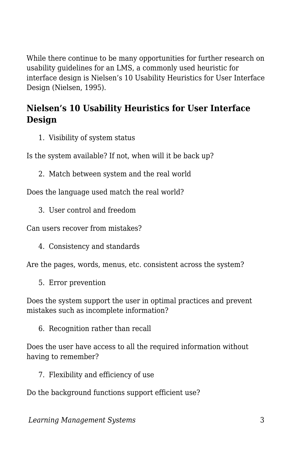While there continue to be many opportunities for further research on usability guidelines for an LMS, a commonly used heuristic for interface design is Nielsen's 10 Usability Heuristics for User Interface Design (Nielsen, 1995).

#### **Nielsen's 10 Usability Heuristics for User Interface Design**

1. Visibility of system status

Is the system available? If not, when will it be back up?

2. Match between system and the real world

Does the language used match the real world?

3. User control and freedom

Can users recover from mistakes?

4. Consistency and standards

Are the pages, words, menus, etc. consistent across the system?

5. Error prevention

Does the system support the user in optimal practices and prevent mistakes such as incomplete information?

6. Recognition rather than recall

Does the user have access to all the required information without having to remember?

7. Flexibility and efficiency of use

Do the background functions support efficient use?

*Learning Management Systems* 3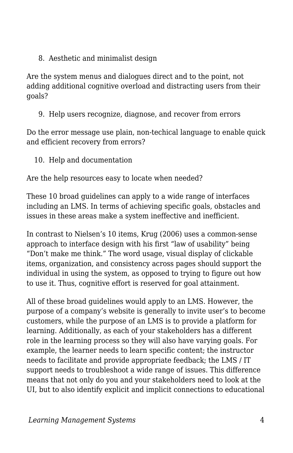8. Aesthetic and minimalist design

Are the system menus and dialogues direct and to the point, not adding additional cognitive overload and distracting users from their goals?

9. Help users recognize, diagnose, and recover from errors

Do the error message use plain, non-techical language to enable quick and efficient recovery from errors?

10. Help and documentation

Are the help resources easy to locate when needed?

These 10 broad guidelines can apply to a wide range of interfaces including an LMS. In terms of achieving specific goals, obstacles and issues in these areas make a system ineffective and inefficient.

In contrast to Nielsen's 10 items, Krug (2006) uses a common-sense approach to interface design with his first "law of usability" being "Don't make me think." The word usage, visual display of clickable items, organization, and consistency across pages should support the individual in using the system, as opposed to trying to figure out how to use it. Thus, cognitive effort is reserved for goal attainment.

All of these broad guidelines would apply to an LMS. However, the purpose of a company's website is generally to invite user's to become customers, while the purpose of an LMS is to provide a platform for learning. Additionally, as each of your stakeholders has a different role in the learning process so they will also have varying goals. For example, the learner needs to learn specific content; the instructor needs to facilitate and provide appropriate feedback; the LMS / IT support needs to troubleshoot a wide range of issues. This difference means that not only do you and your stakeholders need to look at the UI, but to also identify explicit and implicit connections to educational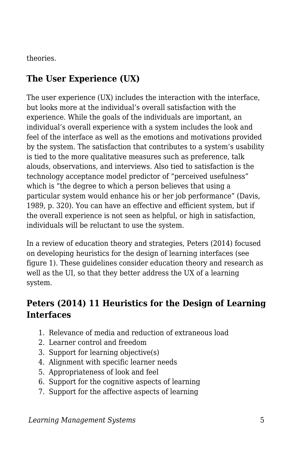theories.

#### **The User Experience (UX)**

The user experience (UX) includes the interaction with the interface, but looks more at the individual's overall satisfaction with the experience. While the goals of the individuals are important, an individual's overall experience with a system includes the look and feel of the interface as well as the emotions and motivations provided by the system. The satisfaction that contributes to a system's usability is tied to the more qualitative measures such as preference, talk alouds, observations, and interviews. Also tied to satisfaction is the technology acceptance model predictor of "perceived usefulness" which is "the degree to which a person believes that using a particular system would enhance his or her job performance" (Davis, 1989, p. 320). You can have an effective and efficient system, but if the overall experience is not seen as helpful, or high in satisfaction, individuals will be reluctant to use the system.

In a review of education theory and strategies, Peters (2014) focused on developing heuristics for the design of learning interfaces (see figure 1). These guidelines consider education theory and research as well as the UI, so that they better address the UX of a learning system.

#### **Peters (2014) 11 Heuristics for the Design of Learning Interfaces**

- 1. Relevance of media and reduction of extraneous load
- 2. Learner control and freedom
- 3. Support for learning objective(s)
- 4. Alignment with specific learner needs
- 5. Appropriateness of look and feel
- 6. Support for the cognitive aspects of learning
- 7. Support for the affective aspects of learning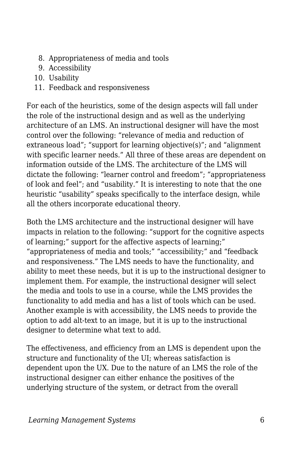- 8. Appropriateness of media and tools
- 9. Accessibility
- 10. Usability
- 11. Feedback and responsiveness

For each of the heuristics, some of the design aspects will fall under the role of the instructional design and as well as the underlying architecture of an LMS. An instructional designer will have the most control over the following: "relevance of media and reduction of extraneous load"; "support for learning objective(s)"; and "alignment with specific learner needs." All three of these areas are dependent on information outside of the LMS. The architecture of the LMS will dictate the following: "learner control and freedom"; "appropriateness of look and feel"; and "usability." It is interesting to note that the one heuristic "usability" speaks specifically to the interface design, while all the others incorporate educational theory.

Both the LMS architecture and the instructional designer will have impacts in relation to the following: "support for the cognitive aspects of learning;" support for the affective aspects of learning;" "appropriateness of media and tools;" "accessibility;" and "feedback and responsiveness." The LMS needs to have the functionality, and ability to meet these needs, but it is up to the instructional designer to implement them. For example, the instructional designer will select the media and tools to use in a course, while the LMS provides the functionality to add media and has a list of tools which can be used. Another example is with accessibility, the LMS needs to provide the option to add alt-text to an image, but it is up to the instructional designer to determine what text to add.

The effectiveness, and efficiency from an LMS is dependent upon the structure and functionality of the UI; whereas satisfaction is dependent upon the UX. Due to the nature of an LMS the role of the instructional designer can either enhance the positives of the underlying structure of the system, or detract from the overall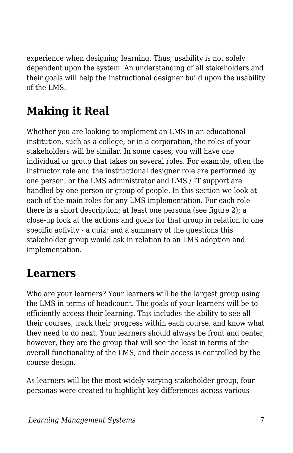experience when designing learning. Thus, usability is not solely dependent upon the system. An understanding of all stakeholders and their goals will help the instructional designer build upon the usability of the LMS.

# **Making it Real**

Whether you are looking to implement an LMS in an educational institution, such as a college, or in a corporation, the roles of your stakeholders will be similar. In some cases, you will have one individual or group that takes on several roles. For example, often the instructor role and the instructional designer role are performed by one person, or the LMS administrator and LMS / IT support are handled by one person or group of people. In this section we look at each of the main roles for any LMS implementation. For each role there is a short description; at least one persona (see figure 2); a close-up look at the actions and goals for that group in relation to one specific activity - a quiz; and a summary of the questions this stakeholder group would ask in relation to an LMS adoption and implementation.

## **Learners**

Who are your learners? Your learners will be the largest group using the LMS in terms of headcount. The goals of your learners will be to efficiently access their learning. This includes the ability to see all their courses, track their progress within each course, and know what they need to do next. Your learners should always be front and center, however, they are the group that will see the least in terms of the overall functionality of the LMS, and their access is controlled by the course design.

As learners will be the most widely varying stakeholder group, four personas were created to highlight key differences across various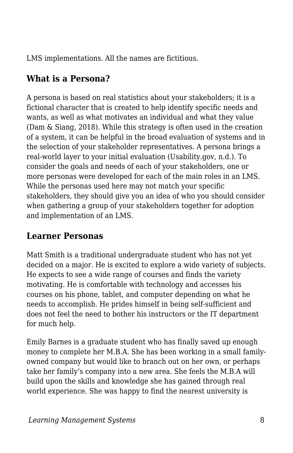LMS implementations. All the names are fictitious.

### **What is a Persona?**

A persona is based on real statistics about your stakeholders; it is a fictional character that is created to help identify specific needs and wants, as well as what motivates an individual and what they value (Dam & Siang, 2018). While this strategy is often used in the creation of a system, it can be helpful in the broad evaluation of systems and in the selection of your stakeholder representatives. A persona brings a real-world layer to your initial evaluation (Usability.gov, n.d.). To consider the goals and needs of each of your stakeholders, one or more personas were developed for each of the main roles in an LMS. While the personas used here may not match your specific stakeholders, they should give you an idea of who you should consider when gathering a group of your stakeholders together for adoption and implementation of an LMS.

#### **Learner Personas**

Matt Smith is a traditional undergraduate student who has not yet decided on a major. He is excited to explore a wide variety of subjects. He expects to see a wide range of courses and finds the variety motivating. He is comfortable with technology and accesses his courses on his phone, tablet, and computer depending on what he needs to accomplish. He prides himself in being self-sufficient and does not feel the need to bother his instructors or the IT department for much help.

Emily Barnes is a graduate student who has finally saved up enough money to complete her M.B.A. She has been working in a small familyowned company but would like to branch out on her own, or perhaps take her family's company into a new area. She feels the M.B.A will build upon the skills and knowledge she has gained through real world experience. She was happy to find the nearest university is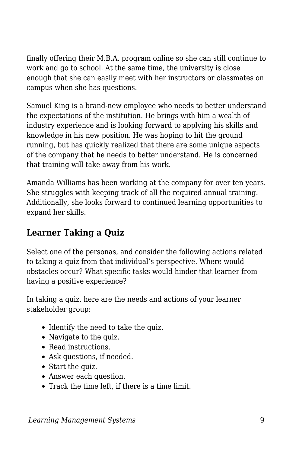finally offering their M.B.A. program online so she can still continue to work and go to school. At the same time, the university is close enough that she can easily meet with her instructors or classmates on campus when she has questions.

Samuel King is a brand-new employee who needs to better understand the expectations of the institution. He brings with him a wealth of industry experience and is looking forward to applying his skills and knowledge in his new position. He was hoping to hit the ground running, but has quickly realized that there are some unique aspects of the company that he needs to better understand. He is concerned that training will take away from his work.

Amanda Williams has been working at the company for over ten years. She struggles with keeping track of all the required annual training. Additionally, she looks forward to continued learning opportunities to expand her skills.

### **Learner Taking a Quiz**

Select one of the personas, and consider the following actions related to taking a quiz from that individual's perspective. Where would obstacles occur? What specific tasks would hinder that learner from having a positive experience?

In taking a quiz, here are the needs and actions of your learner stakeholder group:

- Identify the need to take the quiz.
- Navigate to the quiz.
- Read instructions.
- Ask questions, if needed.
- Start the quiz.
- Answer each question.
- Track the time left, if there is a time limit.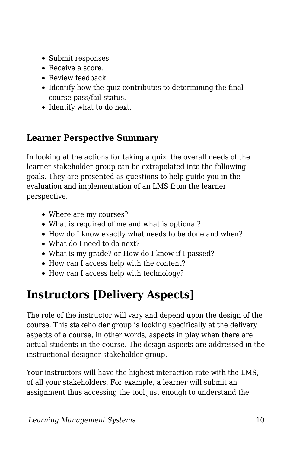- Submit responses.
- Receive a score.
- Review feedback.
- Identify how the quiz contributes to determining the final course pass/fail status.
- Identify what to do next.

#### **Learner Perspective Summary**

In looking at the actions for taking a quiz, the overall needs of the learner stakeholder group can be extrapolated into the following goals. They are presented as questions to help guide you in the evaluation and implementation of an LMS from the learner perspective.

- Where are my courses?
- What is required of me and what is optional?
- How do I know exactly what needs to be done and when?
- What do I need to do next?
- What is my grade? or How do I know if I passed?
- How can I access help with the content?
- How can I access help with technology?

## **Instructors [Delivery Aspects]**

The role of the instructor will vary and depend upon the design of the course. This stakeholder group is looking specifically at the delivery aspects of a course, in other words, aspects in play when there are actual students in the course. The design aspects are addressed in the instructional designer stakeholder group.

Your instructors will have the highest interaction rate with the LMS, of all your stakeholders. For example, a learner will submit an assignment thus accessing the tool just enough to understand the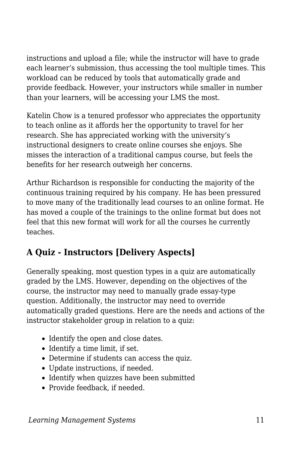instructions and upload a file; while the instructor will have to grade each learner's submission, thus accessing the tool multiple times. This workload can be reduced by tools that automatically grade and provide feedback. However, your instructors while smaller in number than your learners, will be accessing your LMS the most.

Katelin Chow is a tenured professor who appreciates the opportunity to teach online as it affords her the opportunity to travel for her research. She has appreciated working with the university's instructional designers to create online courses she enjoys. She misses the interaction of a traditional campus course, but feels the benefits for her research outweigh her concerns.

Arthur Richardson is responsible for conducting the majority of the continuous training required by his company. He has been pressured to move many of the traditionally lead courses to an online format. He has moved a couple of the trainings to the online format but does not feel that this new format will work for all the courses he currently teaches.

### **A Quiz - Instructors [Delivery Aspects]**

Generally speaking, most question types in a quiz are automatically graded by the LMS. However, depending on the objectives of the course, the instructor may need to manually grade essay-type question. Additionally, the instructor may need to override automatically graded questions. Here are the needs and actions of the instructor stakeholder group in relation to a quiz:

- Identify the open and close dates.
- Identify a time limit, if set.
- Determine if students can access the quiz.
- Update instructions, if needed.
- Identify when quizzes have been submitted
- Provide feedback, if needed.

*Learning Management Systems* 11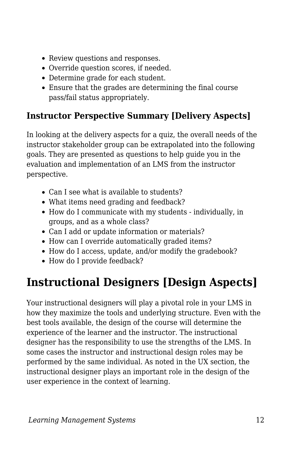- Review questions and responses.
- Override question scores, if needed.
- Determine grade for each student.
- Ensure that the grades are determining the final course pass/fail status appropriately.

#### **Instructor Perspective Summary [Delivery Aspects]**

In looking at the delivery aspects for a quiz, the overall needs of the instructor stakeholder group can be extrapolated into the following goals. They are presented as questions to help guide you in the evaluation and implementation of an LMS from the instructor perspective.

- Can I see what is available to students?
- What items need grading and feedback?
- How do I communicate with my students individually, in groups, and as a whole class?
- Can I add or update information or materials?
- How can I override automatically graded items?
- How do I access, update, and/or modify the gradebook?
- How do I provide feedback?

### **Instructional Designers [Design Aspects]**

Your instructional designers will play a pivotal role in your LMS in how they maximize the tools and underlying structure. Even with the best tools available, the design of the course will determine the experience of the learner and the instructor. The instructional designer has the responsibility to use the strengths of the LMS. In some cases the instructor and instructional design roles may be performed by the same individual. As noted in the UX section, the instructional designer plays an important role in the design of the user experience in the context of learning.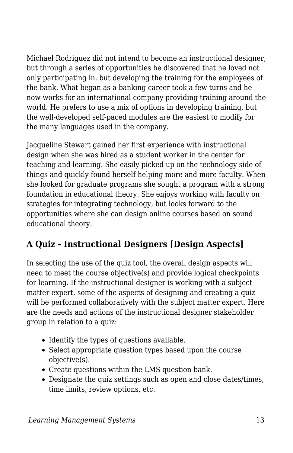Michael Rodriguez did not intend to become an instructional designer, but through a series of opportunities he discovered that he loved not only participating in, but developing the training for the employees of the bank. What began as a banking career took a few turns and he now works for an international company providing training around the world. He prefers to use a mix of options in developing training, but the well-developed self-paced modules are the easiest to modify for the many languages used in the company.

Jacqueline Stewart gained her first experience with instructional design when she was hired as a student worker in the center for teaching and learning. She easily picked up on the technology side of things and quickly found herself helping more and more faculty. When she looked for graduate programs she sought a program with a strong foundation in educational theory. She enjoys working with faculty on strategies for integrating technology, but looks forward to the opportunities where she can design online courses based on sound educational theory.

### **A Quiz - Instructional Designers [Design Aspects]**

In selecting the use of the quiz tool, the overall design aspects will need to meet the course objective(s) and provide logical checkpoints for learning. If the instructional designer is working with a subject matter expert, some of the aspects of designing and creating a quiz will be performed collaboratively with the subject matter expert. Here are the needs and actions of the instructional designer stakeholder group in relation to a quiz:

- Identify the types of questions available.
- Select appropriate question types based upon the course objective(s).
- Create questions within the LMS question bank.
- Designate the quiz settings such as open and close dates/times, time limits, review options, etc.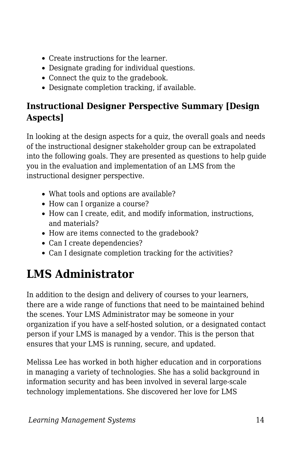- Create instructions for the learner.
- Designate grading for individual questions.
- Connect the quiz to the gradebook.
- Designate completion tracking, if available.

### **Instructional Designer Perspective Summary [Design Aspects]**

In looking at the design aspects for a quiz, the overall goals and needs of the instructional designer stakeholder group can be extrapolated into the following goals. They are presented as questions to help guide you in the evaluation and implementation of an LMS from the instructional designer perspective.

- What tools and options are available?
- How can I organize a course?
- How can I create, edit, and modify information, instructions, and materials?
- How are items connected to the gradebook?
- Can I create dependencies?
- Can I designate completion tracking for the activities?

# **LMS Administrator**

In addition to the design and delivery of courses to your learners, there are a wide range of functions that need to be maintained behind the scenes. Your LMS Administrator may be someone in your organization if you have a self-hosted solution, or a designated contact person if your LMS is managed by a vendor. This is the person that ensures that your LMS is running, secure, and updated.

Melissa Lee has worked in both higher education and in corporations in managing a variety of technologies. She has a solid background in information security and has been involved in several large-scale technology implementations. She discovered her love for LMS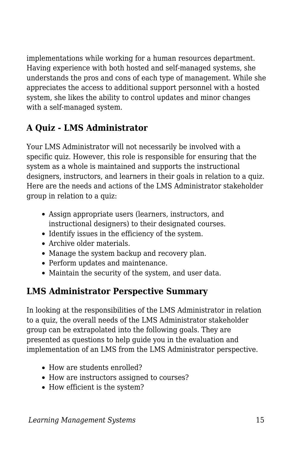implementations while working for a human resources department. Having experience with both hosted and self-managed systems, she understands the pros and cons of each type of management. While she appreciates the access to additional support personnel with a hosted system, she likes the ability to control updates and minor changes with a self-managed system.

#### **A Quiz - LMS Administrator**

Your LMS Administrator will not necessarily be involved with a specific quiz. However, this role is responsible for ensuring that the system as a whole is maintained and supports the instructional designers, instructors, and learners in their goals in relation to a quiz. Here are the needs and actions of the LMS Administrator stakeholder group in relation to a quiz:

- Assign appropriate users (learners, instructors, and instructional designers) to their designated courses.
- Identify issues in the efficiency of the system.
- Archive older materials.
- Manage the system backup and recovery plan.
- Perform updates and maintenance.
- Maintain the security of the system, and user data.

### **LMS Administrator Perspective Summary**

In looking at the responsibilities of the LMS Administrator in relation to a quiz, the overall needs of the LMS Administrator stakeholder group can be extrapolated into the following goals. They are presented as questions to help guide you in the evaluation and implementation of an LMS from the LMS Administrator perspective.

- How are students enrolled?
- How are instructors assigned to courses?
- How efficient is the system?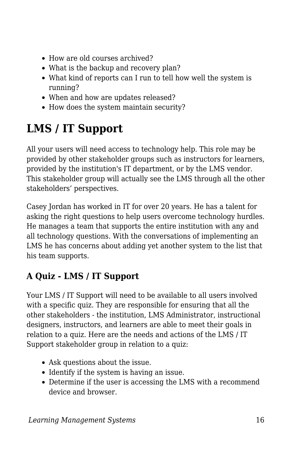- How are old courses archived?
- What is the backup and recovery plan?
- What kind of reports can I run to tell how well the system is running?
- When and how are updates released?
- How does the system maintain security?

# **LMS / IT Support**

All your users will need access to technology help. This role may be provided by other stakeholder groups such as instructors for learners, provided by the institution's IT department, or by the LMS vendor. This stakeholder group will actually see the LMS through all the other stakeholders' perspectives.

Casey Jordan has worked in IT for over 20 years. He has a talent for asking the right questions to help users overcome technology hurdles. He manages a team that supports the entire institution with any and all technology questions. With the conversations of implementing an LMS he has concerns about adding yet another system to the list that his team supports.

### **A Quiz - LMS / IT Support**

Your LMS / IT Support will need to be available to all users involved with a specific quiz. They are responsible for ensuring that all the other stakeholders - the institution, LMS Administrator, instructional designers, instructors, and learners are able to meet their goals in relation to a quiz. Here are the needs and actions of the LMS / IT Support stakeholder group in relation to a quiz:

- Ask questions about the issue.
- Identify if the system is having an issue.
- Determine if the user is accessing the LMS with a recommend device and browser.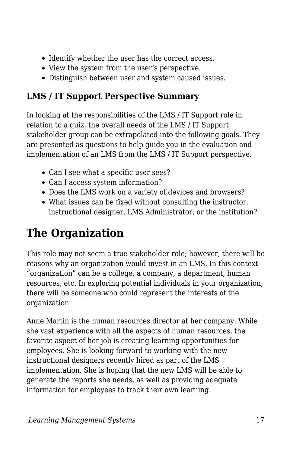- Identify whether the user has the correct access.
- View the system from the user's perspective.
- Distinguish between user and system caused issues.

### **LMS / IT Support Perspective Summary**

In looking at the responsibilities of the LMS / IT Support role in relation to a quiz, the overall needs of the LMS / IT Support stakeholder group can be extrapolated into the following goals. They are presented as questions to help guide you in the evaluation and implementation of an LMS from the LMS / IT Support perspective.

- Can I see what a specific user sees?
- Can I access system information?
- Does the LMS work on a variety of devices and browsers?
- What issues can be fixed without consulting the instructor, instructional designer, LMS Administrator, or the institution?

# **The Organization**

This role may not seem a true stakeholder role; however, there will be reasons why an organization would invest in an LMS. In this context "organization" can be a college, a company, a department, human resources, etc. In exploring potential individuals in your organization, there will be someone who could represent the interests of the organization.

Anne Martin is the human resources director at her company. While she vast experience with all the aspects of human resources, the favorite aspect of her job is creating learning opportunities for employees. She is looking forward to working with the new instructional designers recently hired as part of the LMS implementation. She is hoping that the new LMS will be able to generate the reports she needs, as well as providing adequate information for employees to track their own learning.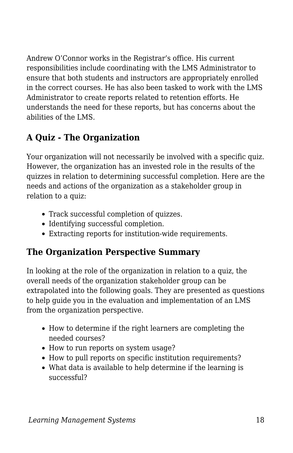Andrew O'Connor works in the Registrar's office. His current responsibilities include coordinating with the LMS Administrator to ensure that both students and instructors are appropriately enrolled in the correct courses. He has also been tasked to work with the LMS Administrator to create reports related to retention efforts. He understands the need for these reports, but has concerns about the abilities of the LMS.

### **A Quiz - The Organization**

Your organization will not necessarily be involved with a specific quiz. However, the organization has an invested role in the results of the quizzes in relation to determining successful completion. Here are the needs and actions of the organization as a stakeholder group in relation to a quiz:

- Track successful completion of quizzes.
- Identifying successful completion.
- Extracting reports for institution-wide requirements.

### **The Organization Perspective Summary**

In looking at the role of the organization in relation to a quiz, the overall needs of the organization stakeholder group can be extrapolated into the following goals. They are presented as questions to help guide you in the evaluation and implementation of an LMS from the organization perspective.

- How to determine if the right learners are completing the needed courses?
- How to run reports on system usage?
- How to pull reports on specific institution requirements?
- What data is available to help determine if the learning is successful?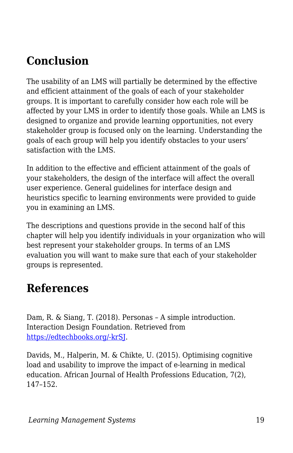### **Conclusion**

The usability of an LMS will partially be determined by the effective and efficient attainment of the goals of each of your stakeholder groups. It is important to carefully consider how each role will be affected by your LMS in order to identify those goals. While an LMS is designed to organize and provide learning opportunities, not every stakeholder group is focused only on the learning. Understanding the goals of each group will help you identify obstacles to your users' satisfaction with the LMS.

In addition to the effective and efficient attainment of the goals of your stakeholders, the design of the interface will affect the overall user experience. General guidelines for interface design and heuristics specific to learning environments were provided to guide you in examining an LMS.

The descriptions and questions provide in the second half of this chapter will help you identify individuals in your organization who will best represent your stakeholder groups. In terms of an LMS evaluation you will want to make sure that each of your stakeholder groups is represented.

### **References**

Dam, R. & Siang, T. (2018). Personas – A simple introduction. Interaction Design Foundation. Retrieved from [https://edtechbooks.org/-krSJ.](https://www.google.com/url?q=https://www.interaction-design.org/literature/article/personas-why-and-how-you-should-use-them&sa=D&ust=1585947220159000)

Davids, M., Halperin, M. & Chikte, U. (2015). Optimising cognitive load and usability to improve the impact of e-learning in medical education. African Journal of Health Professions Education, 7(2), 147–152.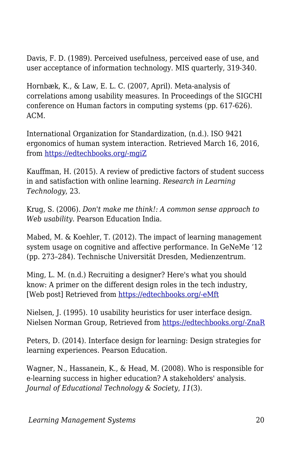Davis, F. D. (1989). Perceived usefulness, perceived ease of use, and user acceptance of information technology. MIS quarterly, 319-340.

Hornbæk, K., & Law, E. L. C. (2007, April). Meta-analysis of correlations among usability measures. In Proceedings of the SIGCHI conference on Human factors in computing systems (pp. 617-626). ACM.

International Organization for Standardization, (n.d.). ISO 9421 ergonomics of human system interaction. Retrieved March 16, 2016, from [https://edtechbooks.org/-mgiZ](https://www.iso.org/obp/ui/#!iso:std:52075:en)

Kauffman, H. (2015). A review of predictive factors of student success in and satisfaction with online learning. *Research in Learning Technology*, 23.

Krug, S. (2006). *Don't make me think!: A common sense approach to Web usability*. Pearson Education India.

Mabed, M. & Koehler, T. (2012). The impact of learning management system usage on cognitive and affective performance. In GeNeMe '12 (pp. 273–284). Technische Universität Dresden, Medienzentrum.

Ming, L. M. (n.d.) Recruiting a designer? Here's what you should know: A primer on the different design roles in the tech industry, [Web post] Retrieved from [https://edtechbooks.org/-eMft](https://www.fastcompany.com/3032719/ui-ux-who-does-what-a-designers-guide-to-the-tech-industry)

Nielsen, J. (1995). 10 usability heuristics for user interface design. Nielsen Norman Group, Retrieved from [https://edtechbooks.org/-ZnaR](https://www.nngroup.com/articles/ten-usability-heuristics/.)

Peters, D. (2014). Interface design for learning: Design strategies for learning experiences. Pearson Education.

Wagner, N., Hassanein, K., & Head, M. (2008). Who is responsible for e-learning success in higher education? A stakeholders' analysis. *Journal of Educational Technology & Society*, *11*(3).

*Learning Management Systems* 20